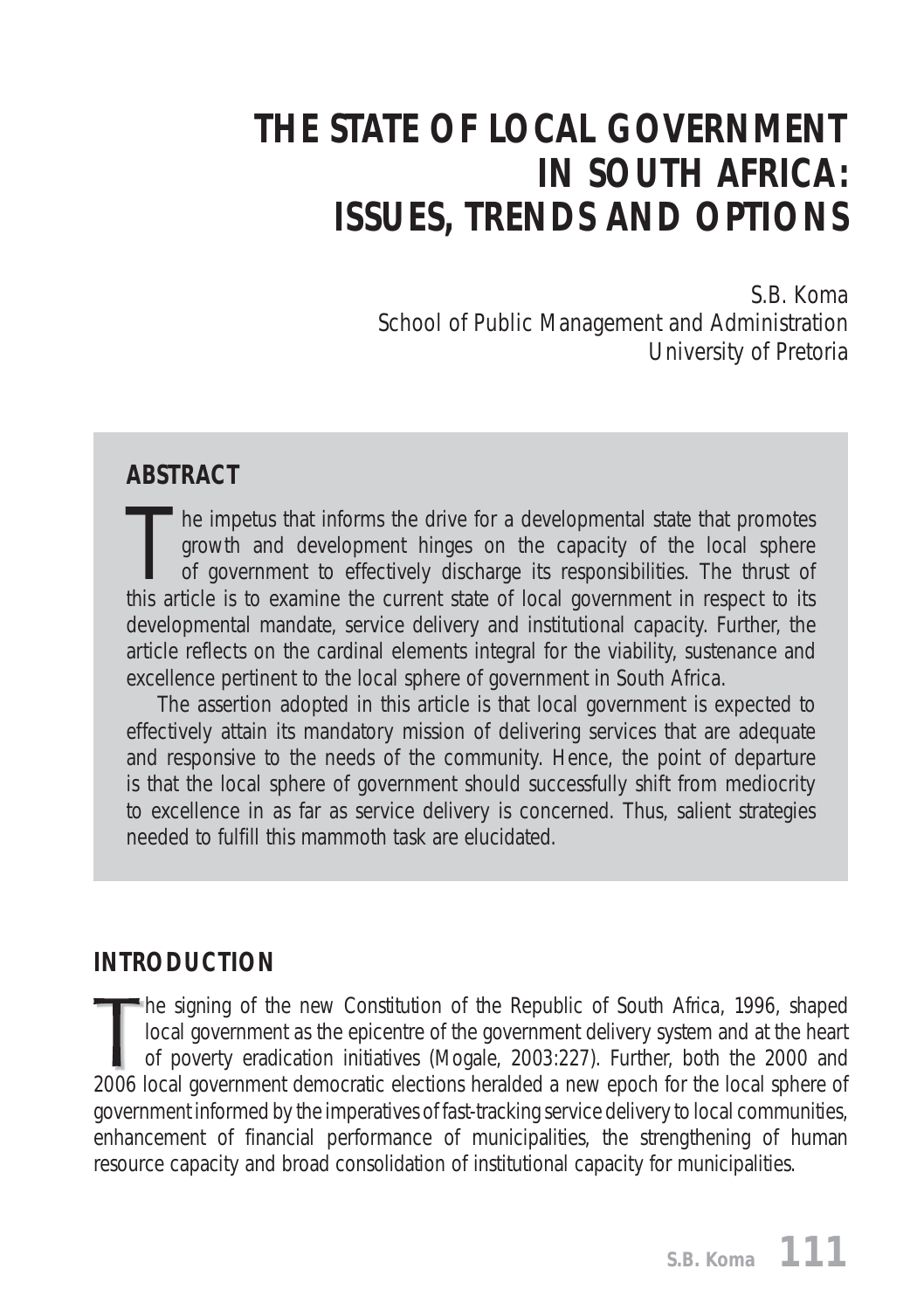# *THE STATE OF LOCAL GOVERNMENT IN SOUTH AFRICA: ISSUES, TRENDS AND OPTIONS*

*S.B. Koma School of Public Management and Administration University of Pretoria*

#### **ABSTRACT**

The impetus that informs the drive for a developmental state that promotes<br>growth and development hinges on the capacity of the local sphere<br>of government to effectively discharge its responsibilities. The thrust of<br>this a growth and development hinges on the capacity of the local sphere of government to effectively discharge its responsibilities. The thrust of this article is to examine the current state of local government in respect to its developmental mandate, service delivery and institutional capacity. Further, the article reflects on the cardinal elements integral for the viability, sustenance and excellence pertinent to the local sphere of government in South Africa.

The assertion adopted in this article is that local government is expected to effectively attain its mandatory mission of delivering services that are adequate and responsive to the needs of the community. Hence, the point of departure is that the local sphere of government should successfully shift from mediocrity to excellence in as far as service delivery is concerned. Thus, salient strategies needed to fulfill this mammoth task are elucidated.

## **INTRODUCTION**

he signing of the new *Constitution of the Republic of South Africa*, 1996, shaped local government as the epicentre of the government delivery system and at the heart of poverty eradication initiatives (Mogale, 2003:227). Further, both the 2000 and 2006 local government democratic elections heralded a new epoch for the local sphere of government informed by the imperatives of fast-tracking service delivery to local communities, enhancement of financial performance of municipalities, the strengthening of human resource capacity and broad consolidation of institutional capacity for municipalities.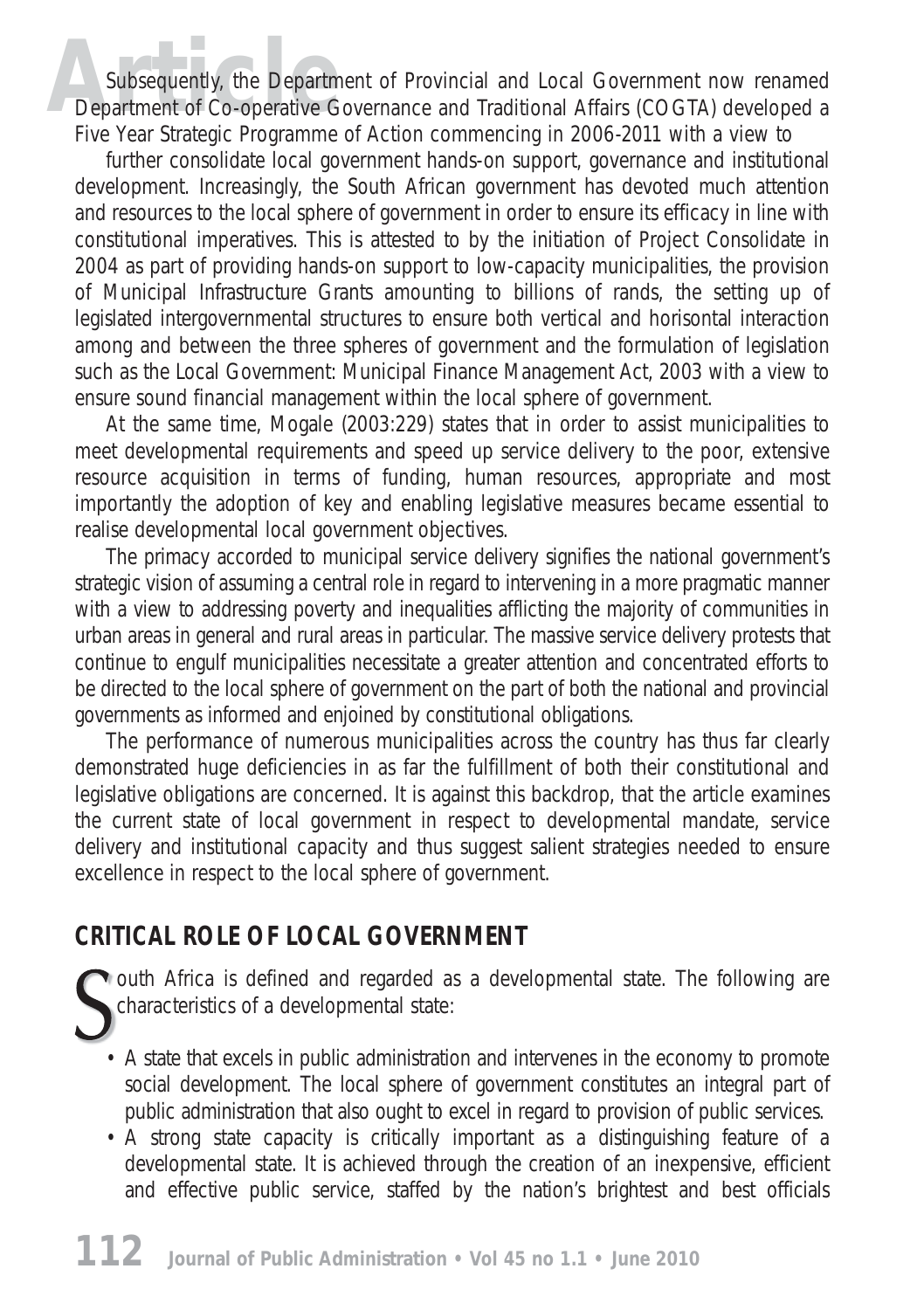Subsequently, the Department of Provincial and Local Government now renamed Department of Co-operative Governance and Traditional Affairs (COGTA) developed a Five Year Strategic Programme of Action commencing in 2006-2011 with a view to

further consolidate local government hands-on support, governance and institutional development. Increasingly, the South African government has devoted much attention and resources to the local sphere of government in order to ensure its efficacy in line with constitutional imperatives. This is attested to by the initiation of Project Consolidate in 2004 as part of providing hands-on support to low-capacity municipalities, the provision of *Municipal Infrastructure Grants* amounting to billions of rands, the setting up of legislated intergovernmental structures to ensure both vertical and horisontal interaction among and between the three spheres of government and the formulation of legislation such as the *Local Government: Municipal Finance Management Act*, 2003 with a view to ensure sound financial management within the local sphere of government.

At the same time, Mogale (2003:229) states that in order to assist municipalities to meet developmental requirements and speed up service delivery to the poor, extensive resource acquisition in terms of funding, human resources, appropriate and most importantly the adoption of key and enabling legislative measures became essential to realise developmental local government objectives.

The primacy accorded to municipal service delivery signifies the national government's strategic vision of assuming a central role in regard to intervening in a more pragmatic manner with a view to addressing poverty and inequalities afflicting the majority of communities in urban areas in general and rural areas in particular. The massive service delivery protests that continue to engulf municipalities necessitate a greater attention and concentrated efforts to be directed to the local sphere of government on the part of both the national and provincial governments as informed and enjoined by constitutional obligations.

The performance of numerous municipalities across the country has thus far clearly demonstrated huge deficiencies in as far the fulfillment of both their constitutional and legislative obligations are concerned. It is against this backdrop, that the article examines the current state of local government in respect to developmental mandate, service delivery and institutional capacity and thus suggest salient strategies needed to ensure excellence in respect to the local sphere of government.

## **CRITICAL ROLE OF LOCAL GOVERNMENT**

outh Africa is defined and regarded as a developmental state. The following are characteristics of a developmental state:

- A state that excels in public administration and intervenes in the economy to promote social development. The local sphere of government constitutes an integral part of public administration that also ought to excel in regard to provision of public services.
- A strong state capacity is critically important as a distinguishing feature of a developmental state. It is achieved through the creation of an inexpensive, efficient and effective public service, staffed by the nation's brightest and best officials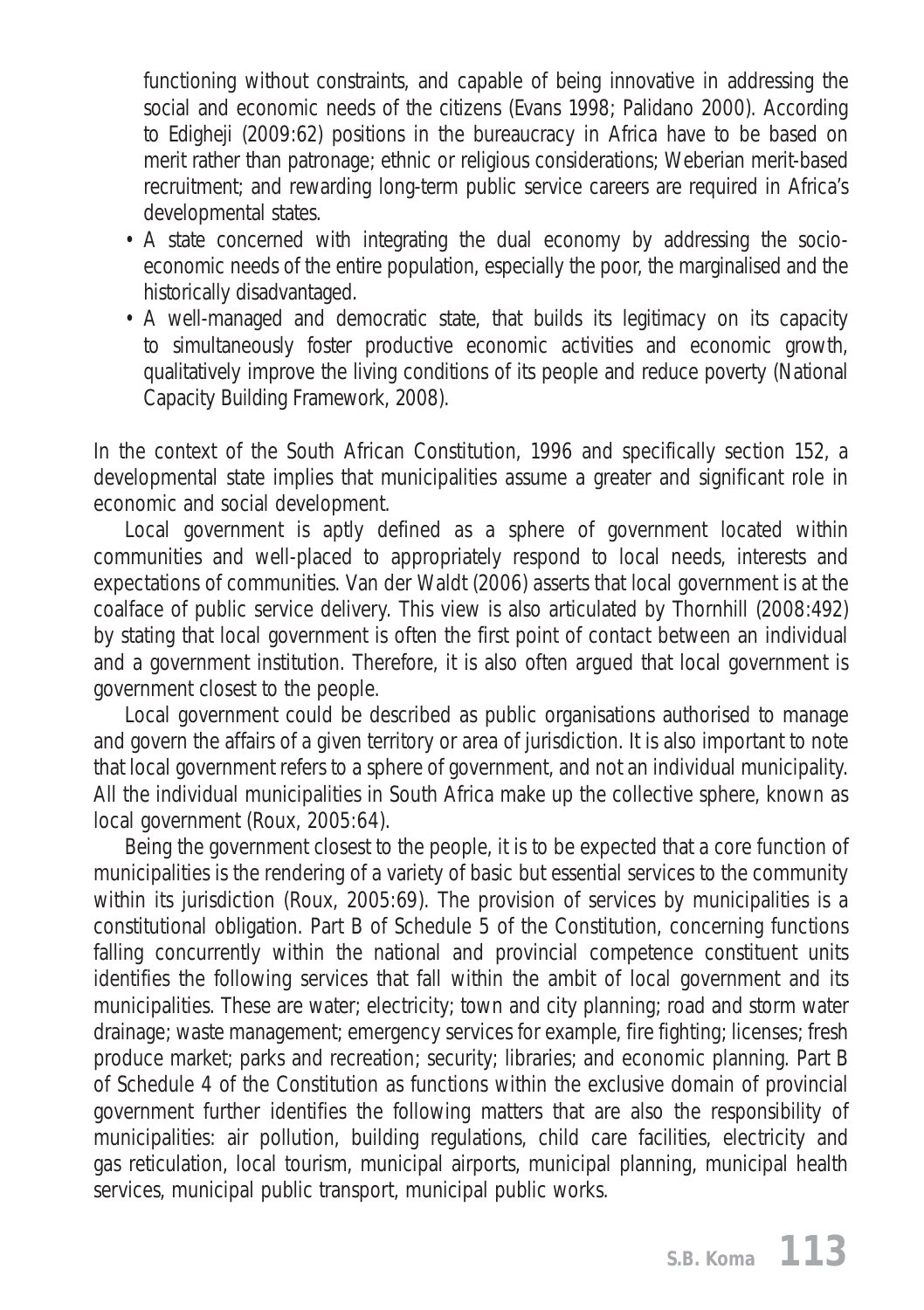functioning without constraints, and capable of being innovative in addressing the social and economic needs of the citizens (Evans 1998; Palidano 2000). According to Edigheji (2009:62) positions in the bureaucracy in Africa have to be based on merit rather than patronage; ethnic or religious considerations; Weberian merit-based recruitment; and rewarding long-term public service careers are required in Africa's developmental states.

- A state concerned with integrating the dual economy by addressing the socioeconomic needs of the entire population, especially the poor, the marginalised and the historically disadvantaged.
- A well-managed and democratic state, that builds its legitimacy on its capacity to simultaneously foster productive economic activities and economic growth, qualitatively improve the living conditions of its people and reduce poverty (National Capacity Building Framework, 2008).

In the context of the South African Constitution, 1996 and specifically section 152, a developmental state implies that municipalities assume a greater and significant role in economic and social development.

Local government is aptly defined as a sphere of government located within communities and well-placed to appropriately respond to local needs, interests and expectations of communities. Van der Waldt (2006) asserts that local government is at the coalface of public service delivery. This view is also articulated by Thornhill (2008:492) by stating that local government is often the first point of contact between an individual and a government institution. Therefore, it is also often argued that local government is government closest to the people.

Local government could be described as public organisations authorised to manage and govern the affairs of a given territory or area of jurisdiction. It is also important to note that local government refers to a sphere of government, and not an individual municipality. All the individual municipalities in South Africa make up the collective sphere, known as local government (Roux, 2005:64).

Being the government closest to the people, it is to be expected that a core function of municipalities is the rendering of a variety of basic but essential services to the community within its jurisdiction (Roux, 2005:69). The provision of services by municipalities is a constitutional obligation. Part B of Schedule 5 of the Constitution, concerning functions falling concurrently within the national and provincial competence constituent units identifies the following services that fall within the ambit of local government and its municipalities. These are water; electricity; town and city planning; road and storm water drainage; waste management; emergency services for example, fire fighting; licenses; fresh produce market; parks and recreation; security; libraries; and economic planning. Part B of Schedule 4 of the Constitution as functions within the exclusive domain of provincial government further identifies the following matters that are also the responsibility of municipalities: air pollution, building regulations, child care facilities, electricity and gas reticulation, local tourism, municipal airports, municipal planning, municipal health services, municipal public transport, municipal public works.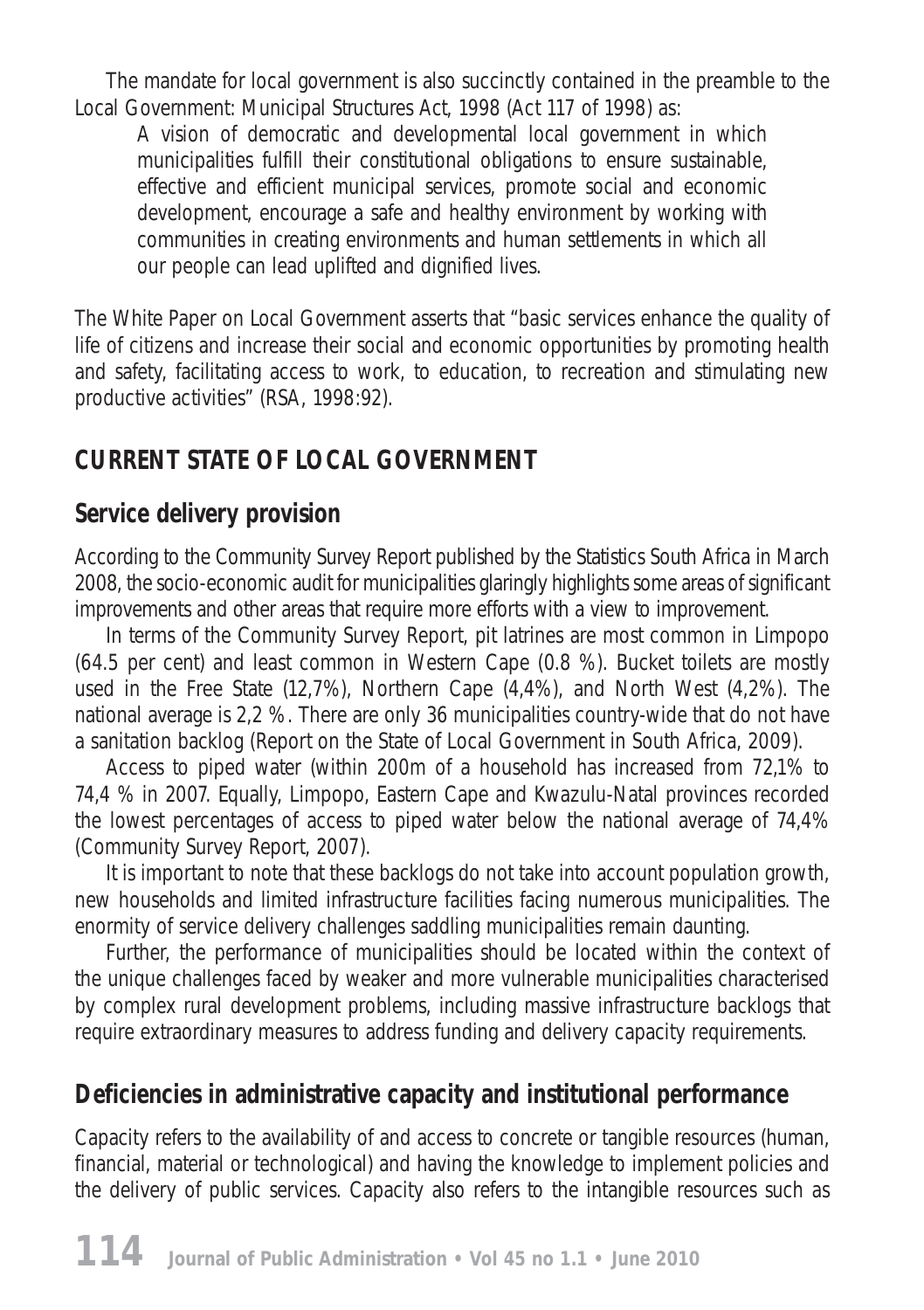The mandate for local government is also succinctly contained in the preamble to the *Local Government: Municipal Structures Act,* 1998 (Act 117 of 1998) as:

*A vision of democratic and developmental local government in which municipalities fulfill their constitutional obligations to ensure sustainable, effective and efficient municipal services, promote social and economic development, encourage a safe and healthy environment by working with communities in creating environments and human settlements in which all our people can lead uplifted and dignified lives.* 

The *White Paper on Local Government* asserts that "basic services enhance the quality of life of citizens and increase their social and economic opportunities by promoting health and safety, facilitating access to work, to education, to recreation and stimulating new productive activities" (RSA, 1998:92).

## **CURRENT STATE OF LOCAL GOVERNMENT**

#### **Service delivery provision**

According to the *Community Survey Report* published by the Statistics South Africa in March 2008, the socio-economic audit for municipalities glaringly highlights some areas of significant improvements and other areas that require more efforts with a view to improvement.

In terms of the Community Survey Report, pit latrines are most common in Limpopo (64.5 per cent) and least common in Western Cape (0.8 %). Bucket toilets are mostly used in the Free State (12,7%), Northern Cape (4,4%), and North West (4,2%). The national average is 2,2 %. There are only 36 municipalities country-wide that do not have a sanitation backlog (Report on the State of Local Government in South Africa, 2009).

Access to piped water (within 200m of a household has increased from 72,1% to 74,4 % in 2007. Equally, Limpopo, Eastern Cape and Kwazulu-Natal provinces recorded the lowest percentages of access to piped water below the national average of 74,4% (Community Survey Report, 2007).

It is important to note that these backlogs do not take into account population growth, new households and limited infrastructure facilities facing numerous municipalities. The enormity of service delivery challenges saddling municipalities remain daunting.

Further, the performance of municipalities should be located within the context of the unique challenges faced by weaker and more vulnerable municipalities characterised by complex rural development problems, including massive infrastructure backlogs that require extraordinary measures to address funding and delivery capacity requirements.

## **Deficiencies in administrative capacity and institutional performance**

Capacity refers to the availability of and access to concrete or tangible resources (human, financial, material or technological) and having the knowledge to implement policies and the delivery of public services. Capacity also refers to the intangible resources such as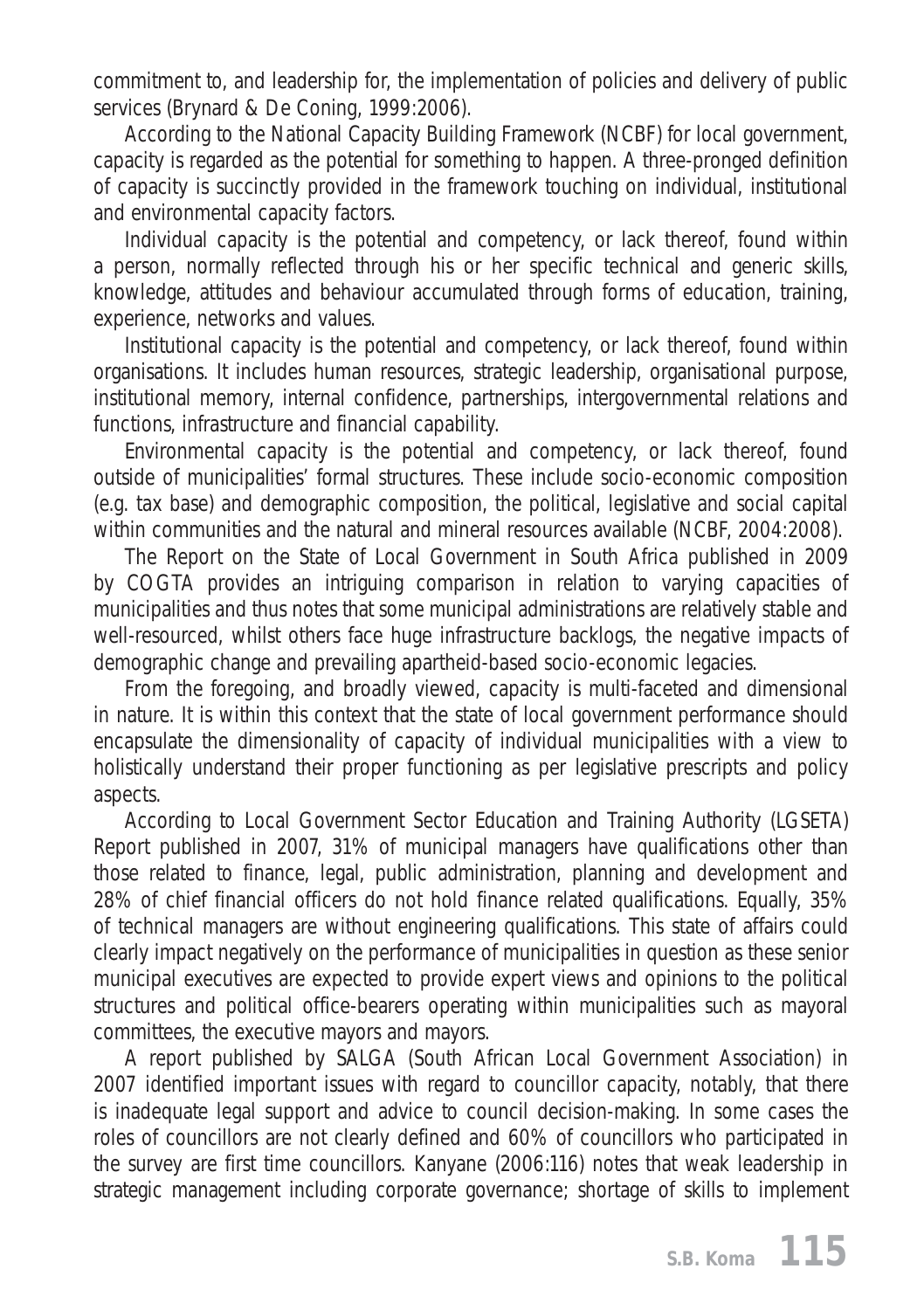commitment to, and leadership for, the implementation of policies and delivery of public services (Brynard & De Coning, 1999:2006).

According to the *National Capacity Building Framework* (NCBF) for local government, capacity is regarded as the potential for something to happen. A three-pronged definition of capacity is succinctly provided in the framework touching on individual, institutional and environmental capacity factors.

Individual capacity is the potential and competency, or lack thereof, found within a person, normally reflected through his or her specific technical and generic skills, knowledge, attitudes and behaviour accumulated through forms of education, training, experience, networks and values.

Institutional capacity is the potential and competency, or lack thereof, found within organisations. It includes human resources, strategic leadership, organisational purpose, institutional memory, internal confidence, partnerships, intergovernmental relations and functions, infrastructure and financial capability.

Environmental capacity is the potential and competency, or lack thereof, found outside of municipalities' formal structures. These include socio-economic composition (e.g. tax base) and demographic composition, the political, legislative and social capital within communities and the natural and mineral resources available (NCBF, 2004:2008).

The Report on the State of Local Government in South Africa published in 2009 by COGTA provides an intriguing comparison in relation to varying capacities of municipalities and thus notes that some municipal administrations are relatively stable and well-resourced, whilst others face huge infrastructure backlogs, the negative impacts of demographic change and prevailing apartheid-based socio-economic legacies.

From the foregoing, and broadly viewed, capacity is multi-faceted and dimensional in nature. It is within this context that the state of local government performance should encapsulate the dimensionality of capacity of individual municipalities with a view to holistically understand their proper functioning as per legislative prescripts and policy aspects.

According to Local Government Sector Education and Training Authority (LGSETA) Report published in 2007, 31% of municipal managers have qualifications other than those related to finance, legal, public administration, planning and development and 28% of chief financial officers do not hold finance related qualifications. Equally, 35% of technical managers are without engineering qualifications. This state of affairs could clearly impact negatively on the performance of municipalities in question as these senior municipal executives are expected to provide expert views and opinions to the political structures and political office-bearers operating within municipalities such as mayoral committees, the executive mayors and mayors.

A report published by SALGA (South African Local Government Association) in 2007 identified important issues with regard to councillor capacity, notably, that there is inadequate legal support and advice to council decision-making. In some cases the roles of councillors are not clearly defined and 60% of councillors who participated in the survey are first time councillors. Kanyane (2006:116) notes that weak leadership in strategic management including corporate governance; shortage of skills to implement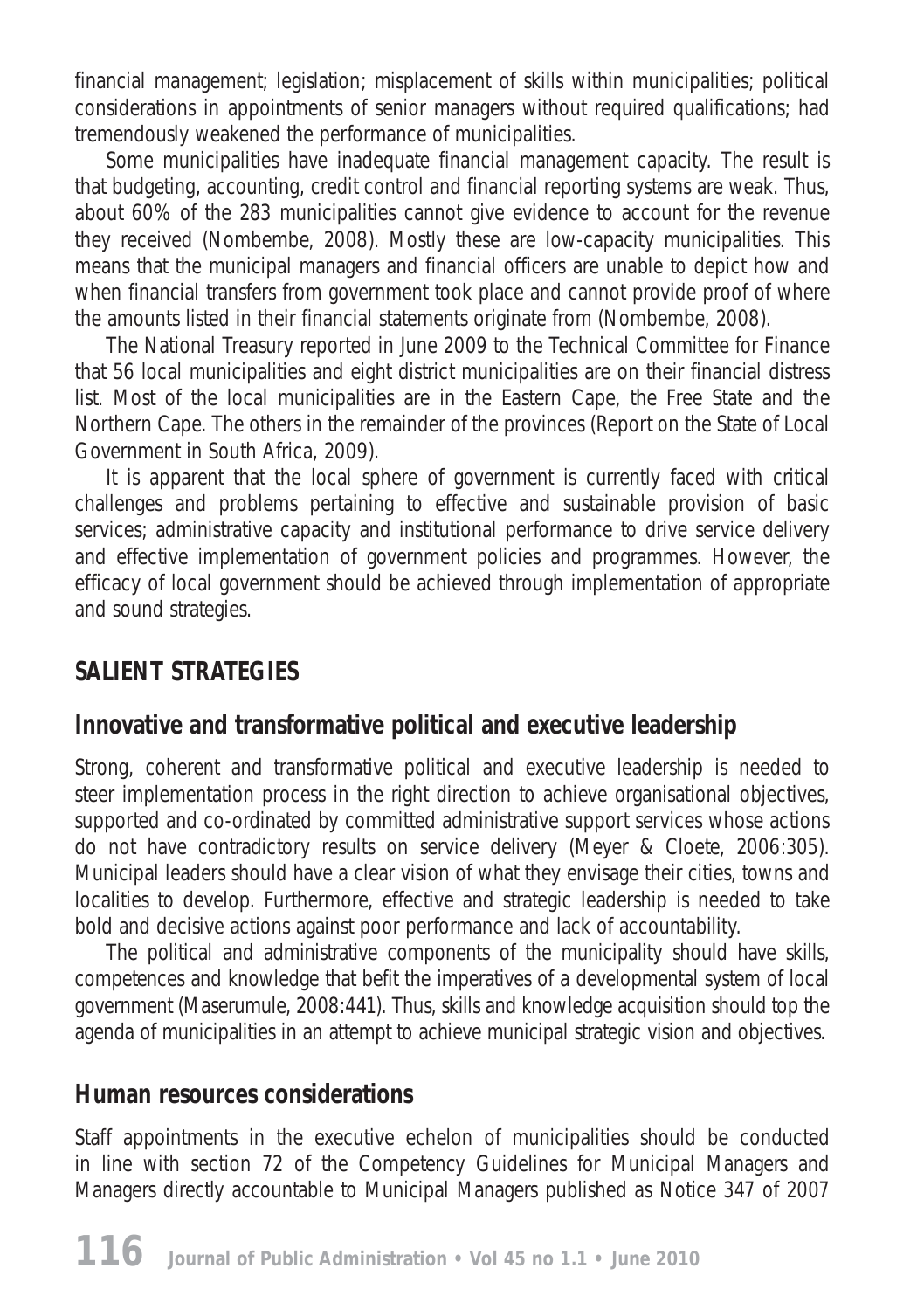financial management; legislation; misplacement of skills within municipalities; political considerations in appointments of senior managers without required qualifications; had tremendously weakened the performance of municipalities.

Some municipalities have inadequate financial management capacity. The result is that budgeting, accounting, credit control and financial reporting systems are weak. Thus, about 60% of the 283 municipalities cannot give evidence to account for the revenue they received (Nombembe, 2008). Mostly these are low-capacity municipalities. This means that the municipal managers and financial officers are unable to depict how and when financial transfers from government took place and cannot provide proof of where the amounts listed in their financial statements originate from (Nombembe, 2008).

The National Treasury reported in June 2009 to the Technical Committee for Finance that 56 local municipalities and eight district municipalities are on their financial distress list. Most of the local municipalities are in the Eastern Cape, the Free State and the Northern Cape. The others in the remainder of the provinces (Report on the State of Local Government in South Africa, 2009).

It is apparent that the local sphere of government is currently faced with critical challenges and problems pertaining to effective and sustainable provision of basic services; administrative capacity and institutional performance to drive service delivery and effective implementation of government policies and programmes. However, the efficacy of local government should be achieved through implementation of appropriate and sound strategies.

## **SALIENT STRATEGIES**

## **Innovative and transformative political and executive leadership**

Strong, coherent and transformative political and executive leadership is needed to steer implementation process in the right direction to achieve organisational objectives, supported and co-ordinated by committed administrative support services whose actions do not have contradictory results on service delivery (Meyer & Cloete, 2006:305). Municipal leaders should have a clear vision of what they envisage their cities, towns and localities to develop. Furthermore, effective and strategic leadership is needed to take bold and decisive actions against poor performance and lack of accountability.

The political and administrative components of the municipality should have skills, competences and knowledge that befit the imperatives of a developmental system of local government (Maserumule, 2008:441). Thus, skills and knowledge acquisition should top the agenda of municipalities in an attempt to achieve municipal strategic vision and objectives.

#### **Human resources considerations**

Staff appointments in the executive echelon of municipalities should be conducted in line with section 72 of the *Competency Guidelines for Municipal Managers and Managers directly accountable to Municipal Managers* published as Notice 347 of 2007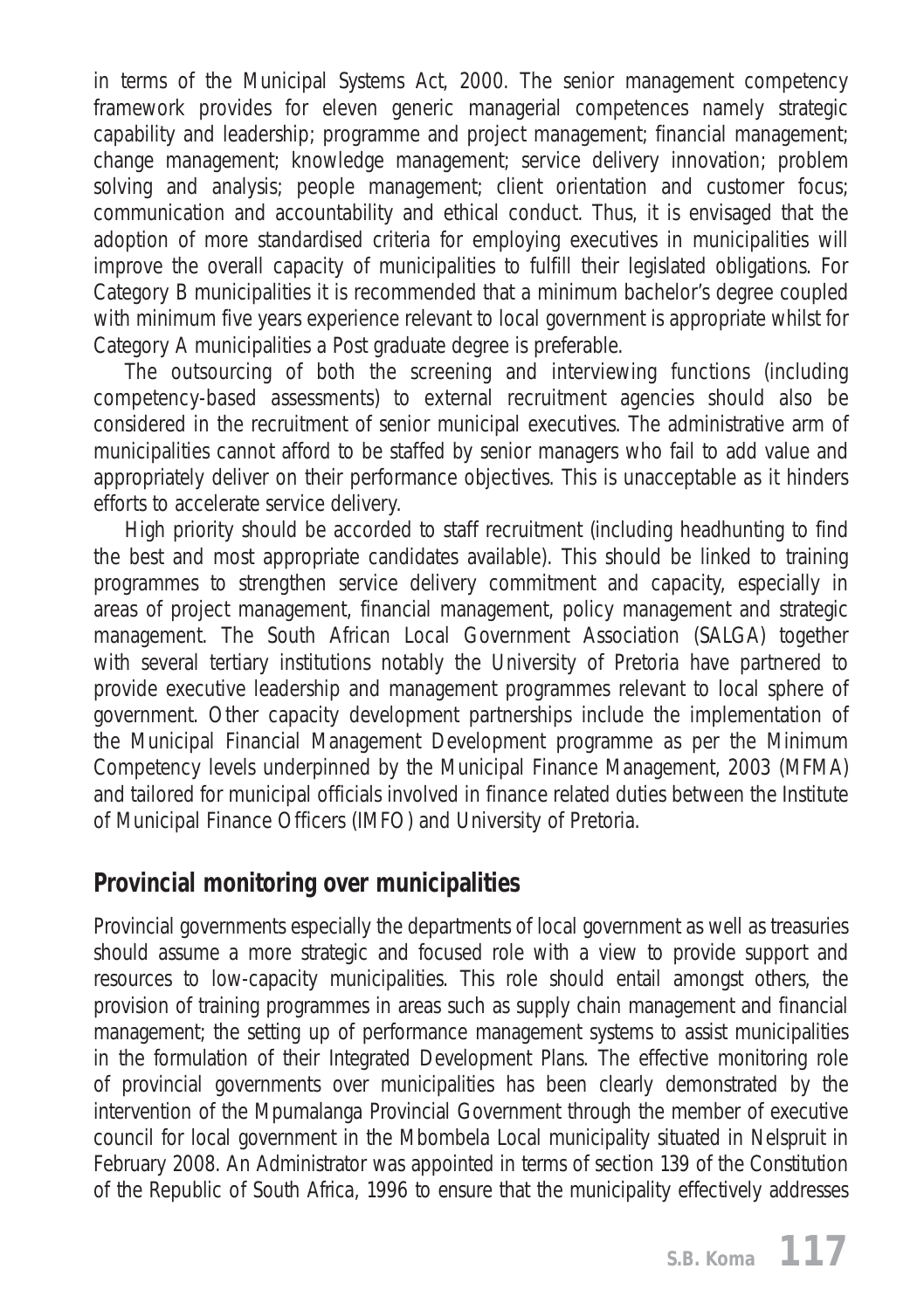in terms of the *Municipal Systems Act,* 2000. The senior management competency framework provides for eleven generic managerial competences namely strategic capability and leadership; programme and project management; financial management; change management; knowledge management; service delivery innovation; problem solving and analysis; people management; client orientation and customer focus; communication and accountability and ethical conduct. Thus, it is envisaged that the adoption of more standardised criteria for employing executives in municipalities will improve the overall capacity of municipalities to fulfill their legislated obligations. For Category B municipalities it is recommended that a minimum bachelor's degree coupled with minimum five years experience relevant to local government is appropriate whilst for Category A municipalities a Post graduate degree is preferable.

The outsourcing of both the screening and interviewing functions (including competency-based assessments) to external recruitment agencies should also be considered in the recruitment of senior municipal executives. The administrative arm of municipalities cannot afford to be staffed by senior managers who fail to add value and appropriately deliver on their performance objectives. This is unacceptable as it hinders efforts to accelerate service delivery.

High priority should be accorded to staff recruitment (including headhunting to find the best and most appropriate candidates available). This should be linked to training programmes to strengthen service delivery commitment and capacity, especially in areas of project management, financial management, policy management and strategic management. The South African Local Government Association (SALGA) together with several tertiary institutions notably the University of Pretoria have partnered to provide executive leadership and management programmes relevant to local sphere of government. Other capacity development partnerships include the implementation of the Municipal Financial Management Development programme as per the Minimum Competency levels underpinned by the Municipal Finance Management, 2003 (MFMA) and tailored for municipal officials involved in finance related duties between the Institute of Municipal Finance Officers (IMFO) and University of Pretoria.

#### **Provincial monitoring over municipalities**

Provincial governments especially the departments of local government as well as treasuries should assume a more strategic and focused role with a view to provide support and resources to low-capacity municipalities. This role should entail amongst others, the provision of training programmes in areas such as supply chain management and financial management; the setting up of performance management systems to assist municipalities in the formulation of their Integrated Development Plans. The effective monitoring role of provincial governments over municipalities has been clearly demonstrated by the intervention of the Mpumalanga Provincial Government through the member of executive council for local government in the Mbombela Local municipality situated in Nelspruit in February 2008. An Administrator was appointed in terms of section 139 of the *Constitution of the Republic o*f *South Africa*, 1996 to ensure that the municipality effectively addresses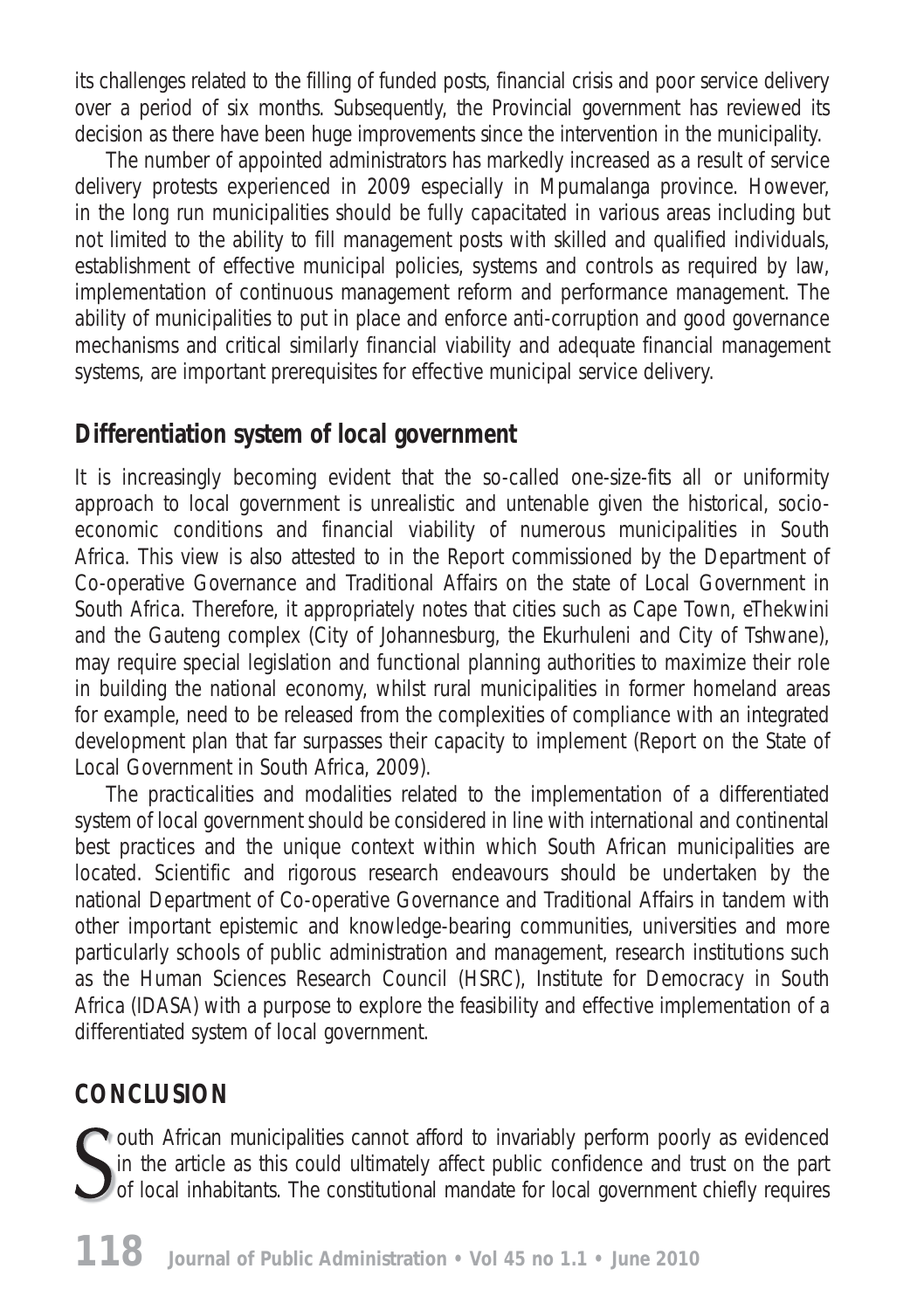its challenges related to the filling of funded posts, financial crisis and poor service delivery over a period of six months. Subsequently, the Provincial government has reviewed its decision as there have been huge improvements since the intervention in the municipality.

The number of appointed administrators has markedly increased as a result of service delivery protests experienced in 2009 especially in Mpumalanga province. However, in the long run municipalities should be fully capacitated in various areas including but not limited to the ability to fill management posts with skilled and qualified individuals, establishment of effective municipal policies, systems and controls as required by law, implementation of continuous management reform and performance management. The ability of municipalities to put in place and enforce anti-corruption and good governance mechanisms and critical similarly financial viability and adequate financial management systems, are important prerequisites for effective municipal service delivery.

#### **Differentiation system of local government**

It is increasingly becoming evident that the so-called *one-size-fits all* or uniformity approach to local government is unrealistic and untenable given the historical, socioeconomic conditions and financial viability of numerous municipalities in South Africa. This view is also attested to in the Report commissioned by the Department of Co-operative Governance and Traditional Affairs on the state of Local Government in South Africa. Therefore, it appropriately notes that cities such as Cape Town, eThekwini and the Gauteng complex (City of Johannesburg, the Ekurhuleni and City of Tshwane), may require special legislation and functional planning authorities to maximize their role in building the national economy, whilst rural municipalities in former *homeland* areas for example, need to be released from the complexities of compliance with an integrated development plan that far surpasses their capacity to implement (Report on the State of Local Government in South Africa, 2009).

The practicalities and modalities related to the implementation of a differentiated system of local government should be considered in line with international and continental best practices and the unique context within which South African municipalities are located. Scientific and rigorous research endeavours should be undertaken by the national Department of Co-operative Governance and Traditional Affairs in tandem with other important epistemic and knowledge-bearing communities, universities and more particularly schools of public administration and management, research institutions such as the Human Sciences Research Council (HSRC), Institute for Democracy in South Africa (IDASA) with a purpose to explore the feasibility and effective implementation of a differentiated system of local government.

## **CONCLUSION**

Outh African municipalities cannot afford to invariably perform poorly as evidenced in the article as this could ultimately affect public confidence and trust on the part of local inhabitants. The constitutional mandate for local government chiefly requires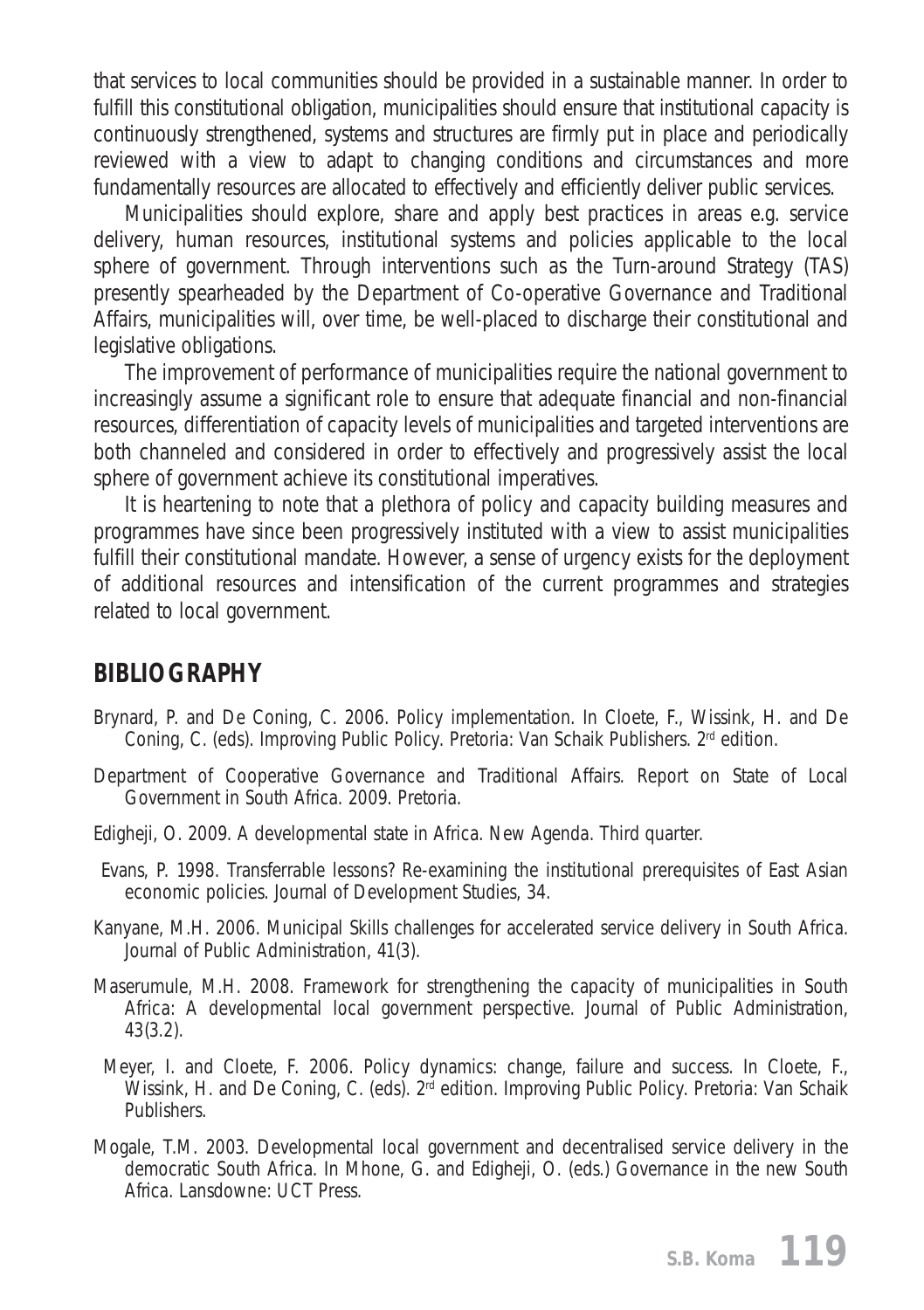that services to local communities should be provided in a sustainable manner. In order to fulfill this constitutional obligation, municipalities should ensure that institutional capacity is continuously strengthened, systems and structures are firmly put in place and periodically reviewed with a view to adapt to changing conditions and circumstances and more fundamentally resources are allocated to effectively and efficiently deliver public services.

Municipalities should explore, share and apply best practices in areas e.g. service delivery, human resources, institutional systems and policies applicable to the local sphere of government. Through interventions such as the Turn-around Strategy (TAS) presently spearheaded by the Department of Co-operative Governance and Traditional Affairs, municipalities will, over time, be well-placed to discharge their constitutional and legislative obligations.

The improvement of performance of municipalities require the national government to increasingly assume a significant role to ensure that adequate financial and non-financial resources, differentiation of capacity levels of municipalities and targeted interventions are both channeled and considered in order to effectively and progressively assist the local sphere of government achieve its constitutional imperatives.

It is heartening to note that a plethora of policy and capacity building measures and programmes have since been progressively instituted with a view to assist municipalities fulfill their constitutional mandate. However, a sense of urgency exists for the deployment of additional resources and intensification of the current programmes and strategies related to local government.

#### **BIBLIOGRAPHY**

- Brynard, P. and De Coning, C. 2006. Policy implementation. In Cloete, F., Wissink, H. and De Coning, C. (eds). *Improving Public Policy*. Pretoria: Van Schaik Publishers. 2<sup>rd</sup> edition.
- Department of Cooperative Governance and Traditional Affairs. *Report on State of Local Government in South Africa*. 2009. Pretoria*.*
- Edigheji, O. 2009. A developmental state in Africa. *New Agenda*. Third quarter.
- Evans, P. 1998. Transferrable lessons? Re-examining the institutional prerequisites of East Asian economic policies. *Journal of Development Studies,* 34.
- Kanyane, M.H. 2006. Municipal Skills challenges for accelerated service delivery in South Africa. *Journal of Public Administration*, 41(3).
- Maserumule, M.H. 2008. Framework for strengthening the capacity of municipalities in South Africa: A developmental local government perspective. *Journal of Public Administration,*  43(3.2).
- Meyer, I. and Cloete, F. 2006. Policy dynamics: change, failure and success. In Cloete, F., Wissink, H. and De Coning, C. (eds). 2rd edition. *Improving Public Policy*. Pretoria: Van Schaik Publishers.
- Mogale, T.M. 2003. Developmental local government and decentralised service delivery in the democratic South Africa. In Mhone, G. and Edigheji, O. (eds.) *Governance in the new South Africa*. Lansdowne: UCT Press.